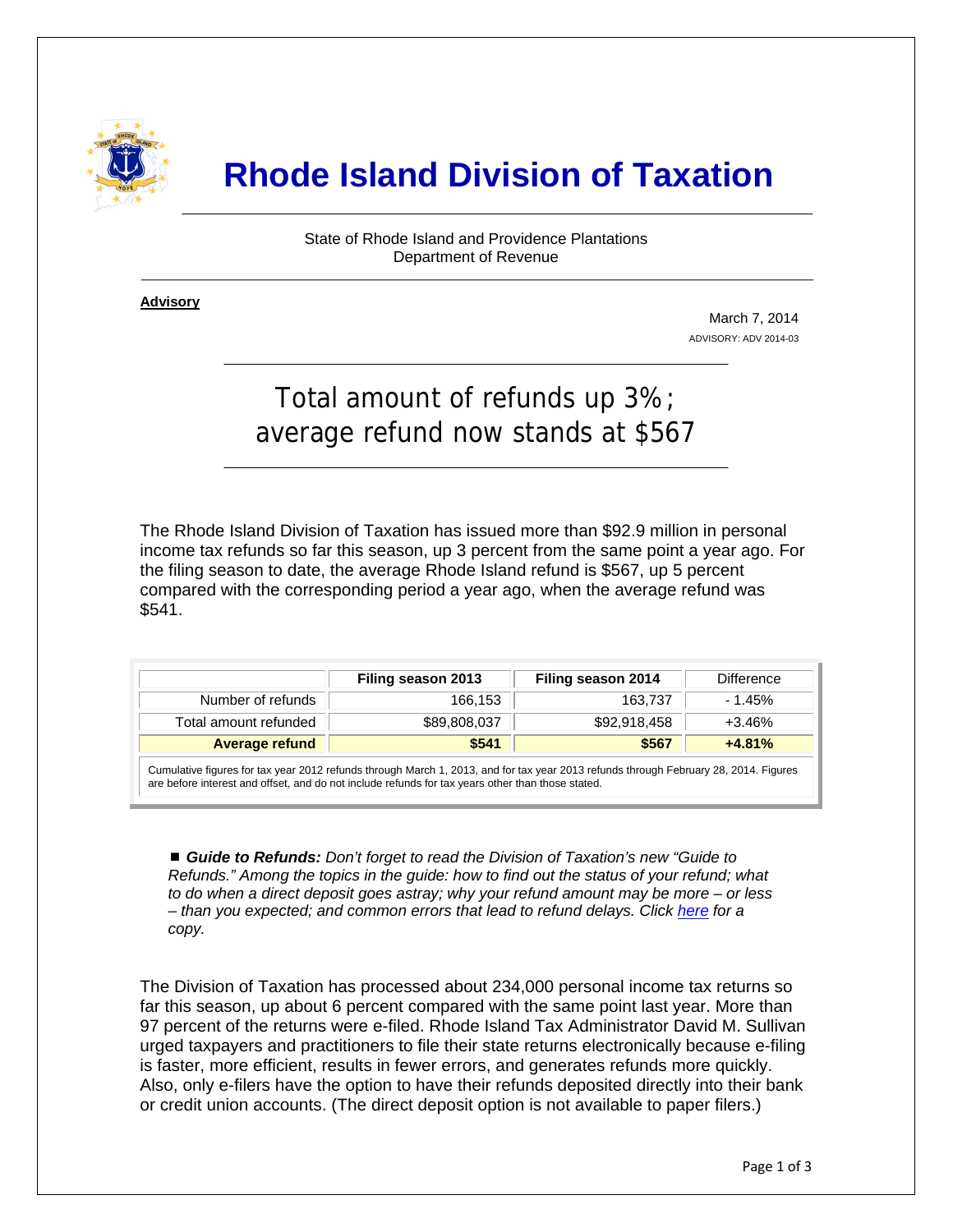

## **Rhode Island Division of Taxation**

State of Rhode Island and Providence Plantations Department of Revenue

**Advisory** ٦

i

March 7, 2014 ADVISORY: ADV 2014-03

## Total amount of refunds up 3%; average refund now stands at \$567

The Rhode Island Division of Taxation has issued more than \$92.9 million in personal income tax refunds so far this season, up 3 percent from the same point a year ago. For the filing season to date, the average Rhode Island refund is \$567, up 5 percent compared with the corresponding period a year ago, when the average refund was \$541.

|                                                                                                                                                                                                                                           | Filing season 2013 | Filing season 2014 | <b>Difference</b> |  |  |
|-------------------------------------------------------------------------------------------------------------------------------------------------------------------------------------------------------------------------------------------|--------------------|--------------------|-------------------|--|--|
| Number of refunds                                                                                                                                                                                                                         | 166.153            | 163.737            | $-1.45%$          |  |  |
| Total amount refunded                                                                                                                                                                                                                     | \$89,808,037       | \$92,918,458       | $+3.46%$          |  |  |
| <b>Average refund</b>                                                                                                                                                                                                                     | \$541              | \$567              | $+4.81%$          |  |  |
| Cumulative figures for tax year 2012 refunds through March 1, 2013, and for tax year 2013 refunds through February 28, 2014. Figures<br>are before interest and offset, and do not include refunds for tax years other than those stated. |                    |                    |                   |  |  |

■ **Guide to Refunds:** Don't forget to read the Division of Taxation's new "Guide to *Refunds." Among the topics in the guide: how to find out the status of your refund; what to do when a direct deposit goes astray; why your refund amount may be more – or less – than you expected; and common errors that lead to refund delays. Click [here](http://www.tax.ri.gov/Tax%20Website/TAX/notice/Guide%20to%20Tax%20Refunds.pdf) for a copy.* 

The Division of Taxation has processed about 234,000 personal income tax returns so far this season, up about 6 percent compared with the same point last year. More than 97 percent of the returns were e-filed. Rhode Island Tax Administrator David M. Sullivan urged taxpayers and practitioners to file their state returns electronically because e-filing is faster, more efficient, results in fewer errors, and generates refunds more quickly. Also, only e-filers have the option to have their refunds deposited directly into their bank or credit union accounts. (The direct deposit option is not available to paper filers.)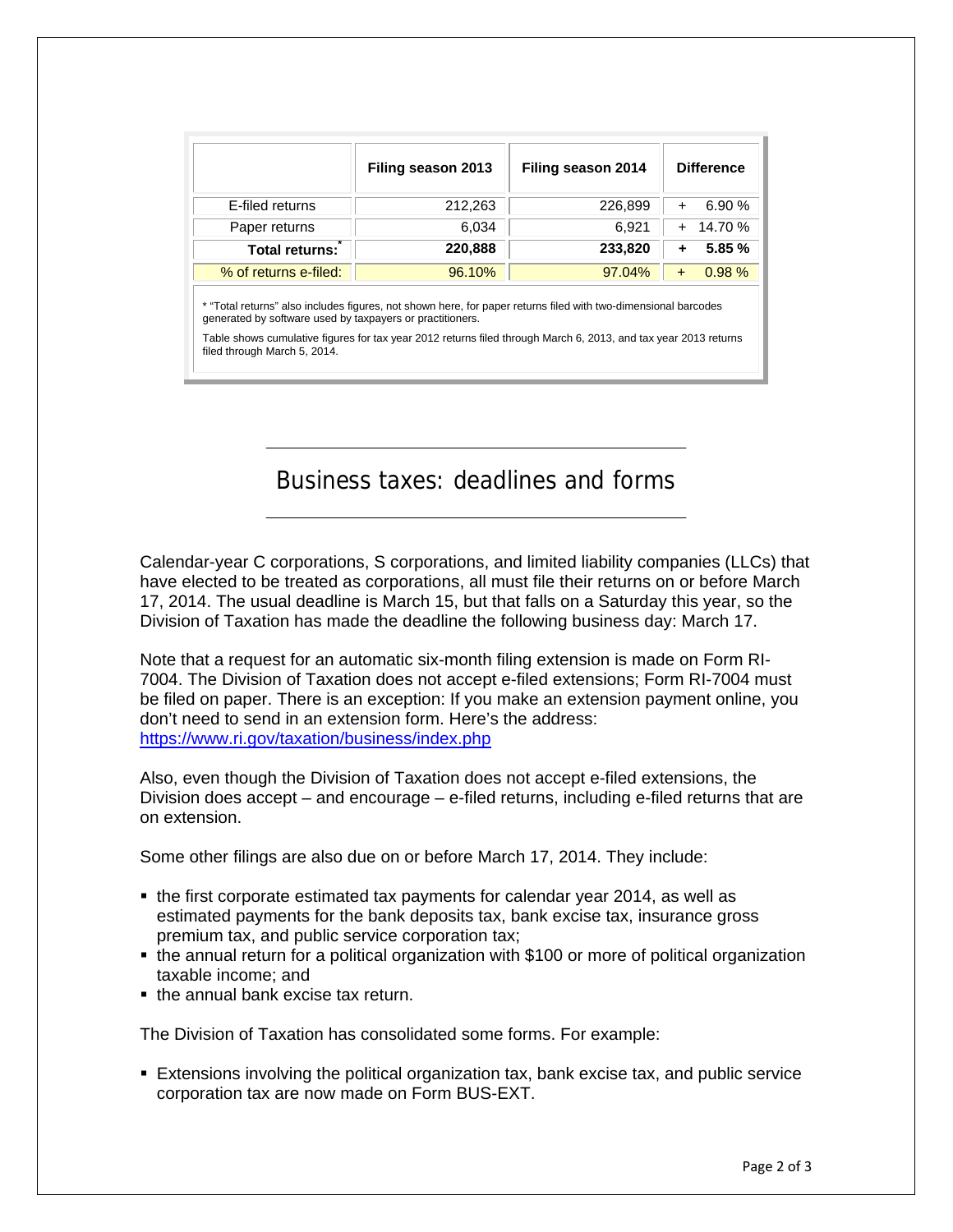|                       | Filing season 2013 | Filing season 2014 | <b>Difference</b> |
|-----------------------|--------------------|--------------------|-------------------|
| E-filed returns       | 212,263            | 226,899            | 6.90%             |
| Paper returns         | 6.034              | 6.921              | 14.70 %           |
| <b>Total returns:</b> | 220,888            | 233,820            | 5.85 %            |
| % of returns e-filed: | 96.10%             | 97.04%             | 0.98%             |

\* "Total returns" also includes figures, not shown here, for paper returns filed with two-dimensional barcodes generated by software used by taxpayers or practitioners.

Table shows cumulative figures for tax year 2012 returns filed through March 6, 2013, and tax year 2013 returns filed through March 5, 2014.

Business taxes: deadlines and forms

Calendar-year C corporations, S corporations, and limited liability companies (LLCs) that have elected to be treated as corporations, all must file their returns on or before March 17, 2014. The usual deadline is March 15, but that falls on a Saturday this year, so the Division of Taxation has made the deadline the following business day: March 17.

Note that a request for an automatic six-month filing extension is made on Form RI-7004. The Division of Taxation does not accept e-filed extensions; Form RI-7004 must be filed on paper. There is an exception: If you make an extension payment online, you don't need to send in an extension form. Here's the address: <https://www.ri.gov/taxation/business/index.php>

Also, even though the Division of Taxation does not accept e-filed extensions, the Division does accept – and encourage – e-filed returns, including e-filed returns that are on extension.

Some other filings are also due on or before March 17, 2014. They include:

- the first corporate estimated tax payments for calendar year 2014, as well as estimated payments for the bank deposits tax, bank excise tax, insurance gross premium tax, and public service corporation tax;
- the annual return for a political organization with \$100 or more of political organization taxable income; and
- the annual bank excise tax return.

The Division of Taxation has consolidated some forms. For example:

 Extensions involving the political organization tax, bank excise tax, and public service corporation tax are now made on Form BUS-EXT.